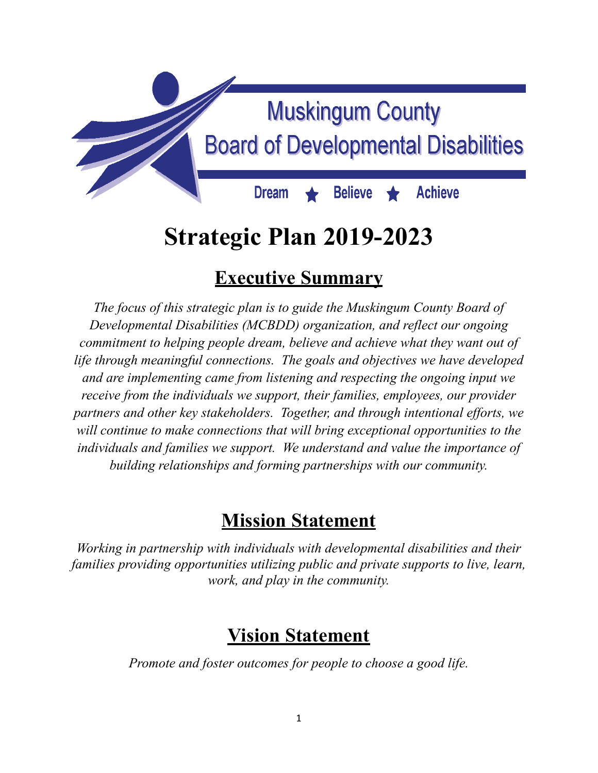

# **Strategic Plan 2019-2023**

# **Executive Summary**

*The focus of this strategic plan is to guide the Muskingum County Board of Developmental Disabilities (MCBDD) organization, and reflect our ongoing commitment to helping people dream, believe and achieve what they want out of life through meaningful connections. The goals and objectives we have developed and are implementing came from listening and respecting the ongoing input we receive from the individuals we support, their families, employees, our provider partners and other key stakeholders. Together, and through intentional ef orts, we will continue to make connections that will bring exceptional opportunities to the individuals and families we support. We understand and value the importance of building relationships and forming partnerships with our community.*

# **Mission Statement**

*Working in partnership with individuals with developmental disabilities and their families providing opportunities utilizing public and private supports to live, learn, work, and play in the community.*

# **Vision Statement**

*Promote and foster outcomes for people to choose a good life.*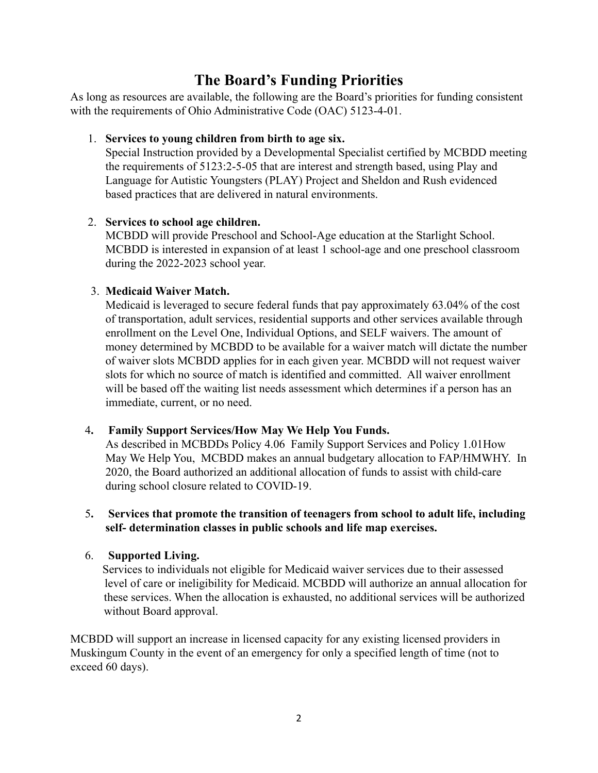# **The Board's Funding Priorities**

As long as resources are available, the following are the Board's priorities for funding consistent with the requirements of Ohio Administrative Code (OAC) 5123-4-01.

# 1. **Services to young children from birth to age six.**

Special Instruction provided by a Developmental Specialist certified by MCBDD meeting the requirements of 5123:2-5-05 that are interest and strength based, using Play and Language for Autistic Youngsters (PLAY) Project and Sheldon and Rush evidenced based practices that are delivered in natural environments.

# 2. **Services to school age children.**

MCBDD will provide Preschool and School-Age education at the Starlight School. MCBDD is interested in expansion of at least 1 school-age and one preschool classroom during the 2022-2023 school year.

# 3. **Medicaid Waiver Match.**

Medicaid is leveraged to secure federal funds that pay approximately 63.04% of the cost of transportation, adult services, residential supports and other services available through enrollment on the Level One, Individual Options, and SELF waivers. The amount of money determined by MCBDD to be available for a waiver match will dictate the number of waiver slots MCBDD applies for in each given year. MCBDD will not request waiver slots for which no source of match is identified and committed. All waiver enrollment will be based off the waiting list needs assessment which determines if a person has an immediate, current, or no need.

# 4**. Family Support Services/How May We Help You Funds.**

As described in MCBDDs Policy 4.06 Family Support Services and Policy 1.01How May We Help You, MCBDD makes an annual budgetary allocation to FAP/HMWHY. In 2020, the Board authorized an additional allocation of funds to assist with child-care during school closure related to COVID-19.

### 5**. Services that promote the transition of teenagers from school to adult life, including self- determination classes in public schools and life map exercises.**

# 6. **Supported Living.**

Services to individuals not eligible for Medicaid waiver services due to their assessed level of care or ineligibility for Medicaid. MCBDD will authorize an annual allocation for these services. When the allocation is exhausted, no additional services will be authorized without Board approval.

MCBDD will support an increase in licensed capacity for any existing licensed providers in Muskingum County in the event of an emergency for only a specified length of time (not to exceed 60 days).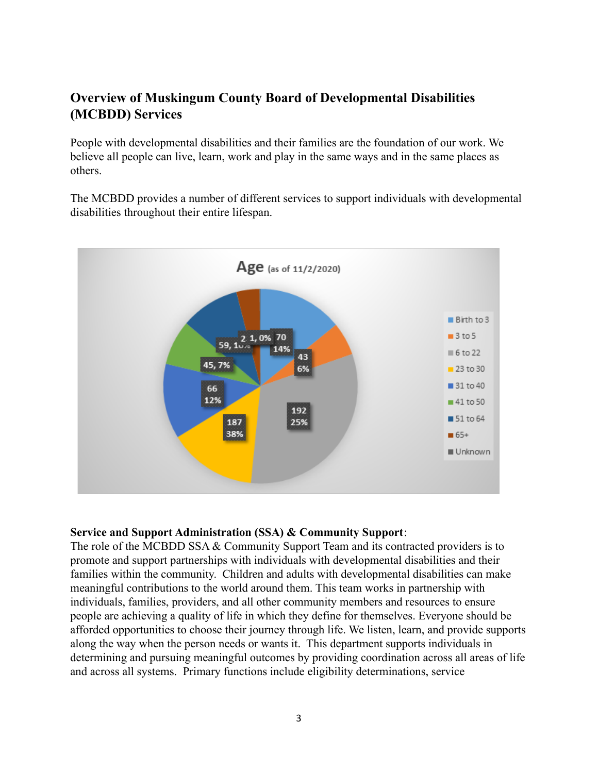# **Overview of Muskingum County Board of Developmental Disabilities (MCBDD) Services**

People with developmental disabilities and their families are the foundation of our work. We believe all people can live, learn, work and play in the same ways and in the same places as others.

The MCBDD provides a number of different services to support individuals with developmental disabilities throughout their entire lifespan.



#### **Service and Support Administration (SSA) & Community Support**:

The role of the MCBDD SSA & Community Support Team and its contracted providers is to promote and support partnerships with individuals with developmental disabilities and their families within the community. Children and adults with developmental disabilities can make meaningful contributions to the world around them. This team works in partnership with individuals, families, providers, and all other community members and resources to ensure people are achieving a quality of life in which they define for themselves. Everyone should be afforded opportunities to choose their journey through life. We listen, learn, and provide supports along the way when the person needs or wants it. This department supports individuals in determining and pursuing meaningful outcomes by providing coordination across all areas of life and across all systems. Primary functions include eligibility determinations, service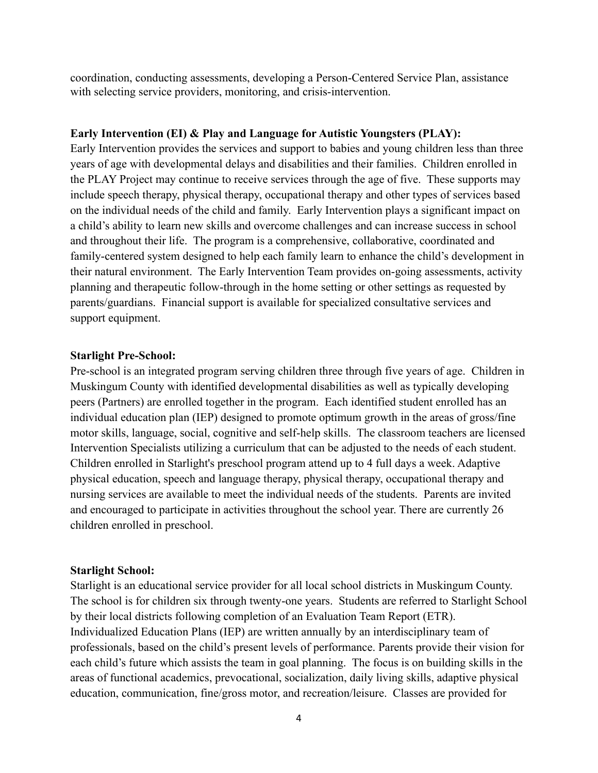coordination, conducting assessments, developing a Person-Centered Service Plan, assistance with selecting service providers, monitoring, and crisis-intervention.

#### **Early Intervention (EI) & Play and Language for Autistic Youngsters (PLAY):**

Early Intervention provides the services and support to babies and young children less than three years of age with developmental delays and disabilities and their families. Children enrolled in the PLAY Project may continue to receive services through the age of five. These supports may include speech therapy, physical therapy, occupational therapy and other types of services based on the individual needs of the child and family. Early Intervention plays a significant impact on a child's ability to learn new skills and overcome challenges and can increase success in school and throughout their life. The program is a comprehensive, collaborative, coordinated and family-centered system designed to help each family learn to enhance the child's development in their natural environment. The Early Intervention Team provides on-going assessments, activity planning and therapeutic follow-through in the home setting or other settings as requested by parents/guardians. Financial support is available for specialized consultative services and support equipment.

#### **Starlight Pre-School:**

Pre-school is an integrated program serving children three through five years of age. Children in Muskingum County with identified developmental disabilities as well as typically developing peers (Partners) are enrolled together in the program. Each identified student enrolled has an individual education plan (IEP) designed to promote optimum growth in the areas of gross/fine motor skills, language, social, cognitive and self-help skills. The classroom teachers are licensed Intervention Specialists utilizing a curriculum that can be adjusted to the needs of each student. Children enrolled in Starlight's preschool program attend up to 4 full days a week. Adaptive physical education, speech and language therapy, physical therapy, occupational therapy and nursing services are available to meet the individual needs of the students. Parents are invited and encouraged to participate in activities throughout the school year. There are currently 26 children enrolled in preschool.

### **Starlight School:**

Starlight is an educational service provider for all local school districts in Muskingum County. The school is for children six through twenty-one years. Students are referred to Starlight School by their local districts following completion of an Evaluation Team Report (ETR). Individualized Education Plans (IEP) are written annually by an interdisciplinary team of professionals, based on the child's present levels of performance. Parents provide their vision for each child's future which assists the team in goal planning. The focus is on building skills in the areas of functional academics, prevocational, socialization, daily living skills, adaptive physical education, communication, fine/gross motor, and recreation/leisure. Classes are provided for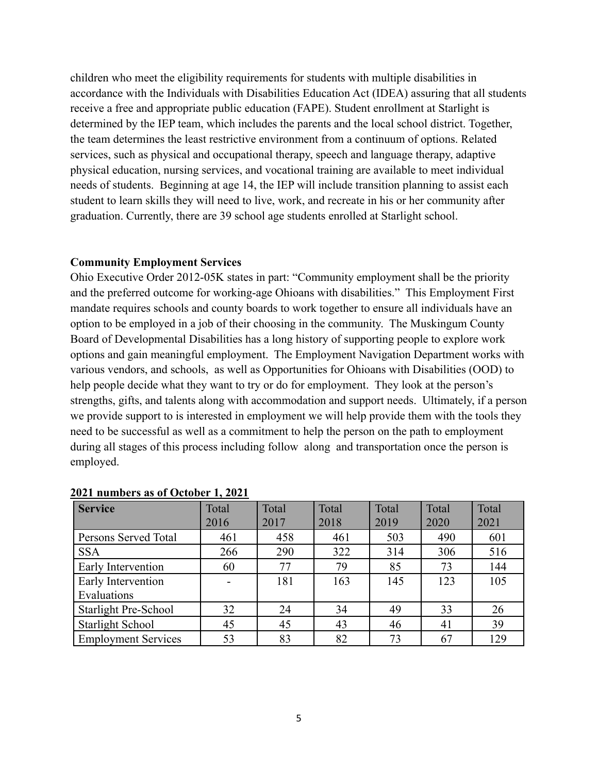children who meet the eligibility requirements for students with multiple disabilities in accordance with the Individuals with Disabilities Education Act (IDEA) assuring that all students receive a free and appropriate public education (FAPE). Student enrollment at Starlight is determined by the IEP team, which includes the parents and the local school district. Together, the team determines the least restrictive environment from a continuum of options. Related services, such as physical and occupational therapy, speech and language therapy, adaptive physical education, nursing services, and vocational training are available to meet individual needs of students. Beginning at age 14, the IEP will include transition planning to assist each student to learn skills they will need to live, work, and recreate in his or her community after graduation. Currently, there are 39 school age students enrolled at Starlight school.

#### **Community Employment Services**

Ohio Executive Order 2012-05K states in part: "Community employment shall be the priority and the preferred outcome for working-age Ohioans with disabilities." This Employment First mandate requires schools and county boards to work together to ensure all individuals have an option to be employed in a job of their choosing in the community. The Muskingum County Board of Developmental Disabilities has a long history of supporting people to explore work options and gain meaningful employment. The Employment Navigation Department works with various vendors, and schools, as well as Opportunities for Ohioans with Disabilities (OOD) to help people decide what they want to try or do for employment. They look at the person's strengths, gifts, and talents along with accommodation and support needs. Ultimately, if a person we provide support to is interested in employment we will help provide them with the tools they need to be successful as well as a commitment to help the person on the path to employment during all stages of this process including follow along and transportation once the person is employed.

| <b>Service</b>              | Total<br>2016 | Total<br>2017 | Total<br>2018 | Total<br>2019 | Total<br>2020 | Total<br>2021 |
|-----------------------------|---------------|---------------|---------------|---------------|---------------|---------------|
| Persons Served Total        | 461           | 458           | 461           | 503           | 490           | 601           |
| <b>SSA</b>                  | 266           | 290           | 322           | 314           | 306           | 516           |
| Early Intervention          | 60            | 77            | 79            | 85            | 73            | 144           |
| Early Intervention          |               | 181           | 163           | 145           | 123           | 105           |
| Evaluations                 |               |               |               |               |               |               |
| <b>Starlight Pre-School</b> | 32            | 24            | 34            | 49            | 33            | 26            |
| <b>Starlight School</b>     | 45            | 45            | 43            | 46            | 41            | 39            |
| <b>Employment Services</b>  | 53            | 83            | 82            | 73            | 67            | 129           |

#### **2021 numbers as of October 1, 2021**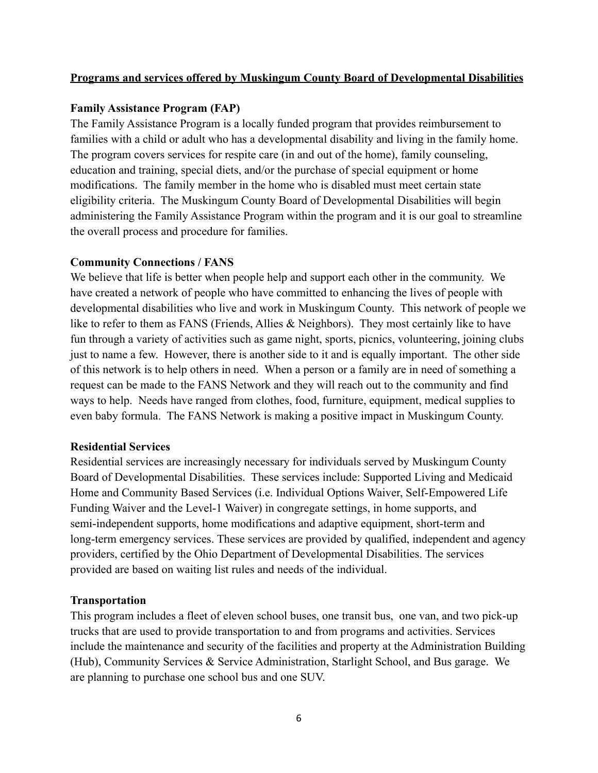### **Programs and services offered by Muskingum County Board of Developmental Disabilities**

### **Family Assistance Program (FAP)**

The Family Assistance Program is a locally funded program that provides reimbursement to families with a child or adult who has a developmental disability and living in the family home. The program covers services for respite care (in and out of the home), family counseling, education and training, special diets, and/or the purchase of special equipment or home modifications. The family member in the home who is disabled must meet certain state eligibility criteria. The Muskingum County Board of Developmental Disabilities will begin administering the Family Assistance Program within the program and it is our goal to streamline the overall process and procedure for families.

# **Community Connections / FANS**

We believe that life is better when people help and support each other in the community. We have created a network of people who have committed to enhancing the lives of people with developmental disabilities who live and work in Muskingum County. This network of people we like to refer to them as FANS (Friends, Allies & Neighbors). They most certainly like to have fun through a variety of activities such as game night, sports, picnics, volunteering, joining clubs just to name a few. However, there is another side to it and is equally important. The other side of this network is to help others in need. When a person or a family are in need of something a request can be made to the FANS Network and they will reach out to the community and find ways to help. Needs have ranged from clothes, food, furniture, equipment, medical supplies to even baby formula. The FANS Network is making a positive impact in Muskingum County.

### **Residential Services**

Residential services are increasingly necessary for individuals served by Muskingum County Board of Developmental Disabilities. These services include: Supported Living and Medicaid Home and Community Based Services (i.e. Individual Options Waiver, Self-Empowered Life Funding Waiver and the Level-1 Waiver) in congregate settings, in home supports, and semi-independent supports, home modifications and adaptive equipment, short-term and long-term emergency services. These services are provided by qualified, independent and agency providers, certified by the Ohio Department of Developmental Disabilities. The services provided are based on waiting list rules and needs of the individual.

### **Transportation**

This program includes a fleet of eleven school buses, one transit bus, one van, and two pick-up trucks that are used to provide transportation to and from programs and activities. Services include the maintenance and security of the facilities and property at the Administration Building (Hub), Community Services & Service Administration, Starlight School, and Bus garage. We are planning to purchase one school bus and one SUV.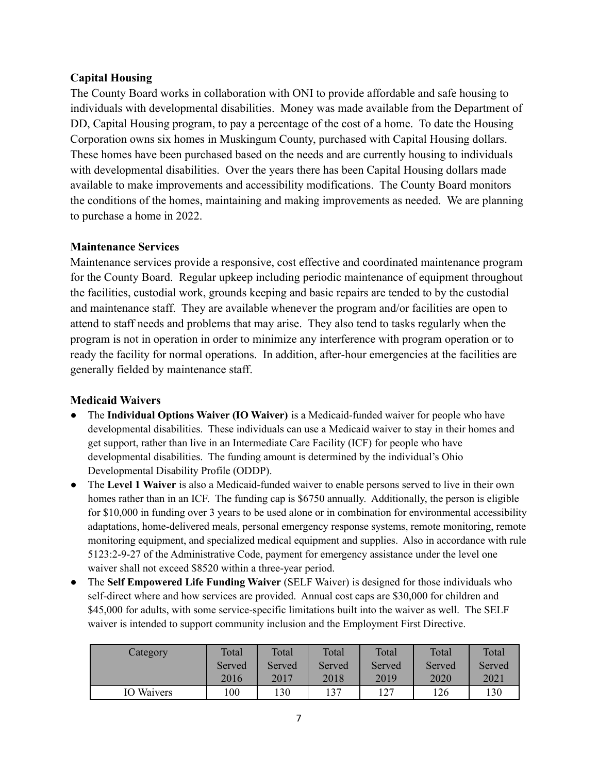# **Capital Housing**

The County Board works in collaboration with ONI to provide affordable and safe housing to individuals with developmental disabilities. Money was made available from the Department of DD, Capital Housing program, to pay a percentage of the cost of a home. To date the Housing Corporation owns six homes in Muskingum County, purchased with Capital Housing dollars. These homes have been purchased based on the needs and are currently housing to individuals with developmental disabilities. Over the years there has been Capital Housing dollars made available to make improvements and accessibility modifications. The County Board monitors the conditions of the homes, maintaining and making improvements as needed. We are planning to purchase a home in 2022.

# **Maintenance Services**

Maintenance services provide a responsive, cost effective and coordinated maintenance program for the County Board. Regular upkeep including periodic maintenance of equipment throughout the facilities, custodial work, grounds keeping and basic repairs are tended to by the custodial and maintenance staff. They are available whenever the program and/or facilities are open to attend to staff needs and problems that may arise. They also tend to tasks regularly when the program is not in operation in order to minimize any interference with program operation or to ready the facility for normal operations. In addition, after-hour emergencies at the facilities are generally fielded by maintenance staff.

# **Medicaid Waivers**

- The **Individual Options Waiver (IO Waiver)** is a Medicaid-funded waiver for people who have developmental disabilities. These individuals can use a Medicaid waiver to stay in their homes and get support, rather than live in an Intermediate Care Facility (ICF) for people who have developmental disabilities. The funding amount is determined by the individual's Ohio Developmental Disability Profile (ODDP).
- The **Level 1 Waiver** is also a Medicaid-funded waiver to enable persons served to live in their own homes rather than in an ICF. The funding cap is \$6750 annually. Additionally, the person is eligible for \$10,000 in funding over 3 years to be used alone or in combination for environmental accessibility adaptations, home-delivered meals, personal emergency response systems, remote monitoring, remote monitoring equipment, and specialized medical equipment and supplies. Also in accordance with rule 5123:2-9-27 of the Administrative Code, payment for emergency assistance under the level one waiver shall not exceed \$8520 within a three-year period.
- The **Self Empowered Life Funding Waiver** (SELF Waiver) is designed for those individuals who self-direct where and how services are provided. Annual cost caps are \$30,000 for children and \$45,000 for adults, with some service-specific limitations built into the waiver as well. The SELF waiver is intended to support community inclusion and the Employment First Directive.

| Category          | Total  | Total  | Total  | Total  | Total  | Total  |
|-------------------|--------|--------|--------|--------|--------|--------|
|                   | Served | Served | Served | Served | Served | Served |
|                   | 2016   | 2017   | 2018   | 2019   | 2020   | 2021   |
| <b>IO</b> Waivers | 100    | 130    | 137    | 127    | 126    | 130    |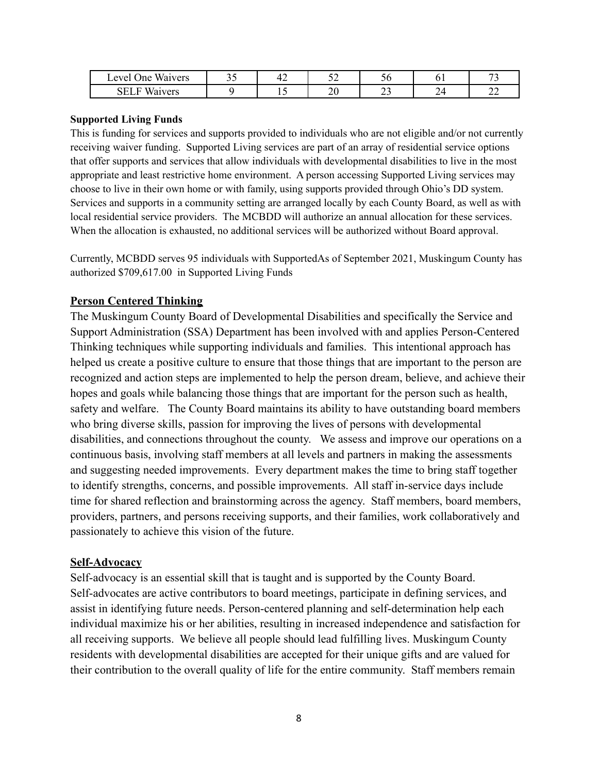| <b>TTT</b><br>. evel<br>Waivers<br>Jne- | $\sim$ $\sim$<br>۔ ب | . . | - -<br>ັ້ | ື  | ິ | $\overline{\phantom{a}}$ |
|-----------------------------------------|----------------------|-----|-----------|----|---|--------------------------|
| Waivers                                 |                      |     | n٢<br>້   | ر_ |   | ~<br>∸                   |

#### **Supported Living Funds**

This is funding for services and supports provided to individuals who are not eligible and/or not currently receiving waiver funding. Supported Living services are part of an array of residential service options that offer supports and services that allow individuals with developmental disabilities to live in the most appropriate and least restrictive home environment. A person accessing Supported Living services may choose to live in their own home or with family, using supports provided through Ohio's DD system. Services and supports in a community setting are arranged locally by each County Board, as well as with local residential service providers. The MCBDD will authorize an annual allocation for these services. When the allocation is exhausted, no additional services will be authorized without Board approval.

Currently, MCBDD serves 95 individuals with SupportedAs of September 2021, Muskingum County has authorized \$709,617.00 in Supported Living Funds

#### **Person Centered Thinking**

The Muskingum County Board of Developmental Disabilities and specifically the Service and Support Administration (SSA) Department has been involved with and applies Person-Centered Thinking techniques while supporting individuals and families. This intentional approach has helped us create a positive culture to ensure that those things that are important to the person are recognized and action steps are implemented to help the person dream, believe, and achieve their hopes and goals while balancing those things that are important for the person such as health, safety and welfare. The County Board maintains its ability to have outstanding board members who bring diverse skills, passion for improving the lives of persons with developmental disabilities, and connections throughout the county. We assess and improve our operations on a continuous basis, involving staff members at all levels and partners in making the assessments and suggesting needed improvements. Every department makes the time to bring staff together to identify strengths, concerns, and possible improvements. All staff in-service days include time for shared reflection and brainstorming across the agency. Staff members, board members, providers, partners, and persons receiving supports, and their families, work collaboratively and passionately to achieve this vision of the future.

#### **Self-Advocacy**

Self-advocacy is an essential skill that is taught and is supported by the County Board. Self-advocates are active contributors to board meetings, participate in defining services, and assist in identifying future needs. Person-centered planning and self-determination help each individual maximize his or her abilities, resulting in increased independence and satisfaction for all receiving supports. We believe all people should lead fulfilling lives. Muskingum County residents with developmental disabilities are accepted for their unique gifts and are valued for their contribution to the overall quality of life for the entire community. Staff members remain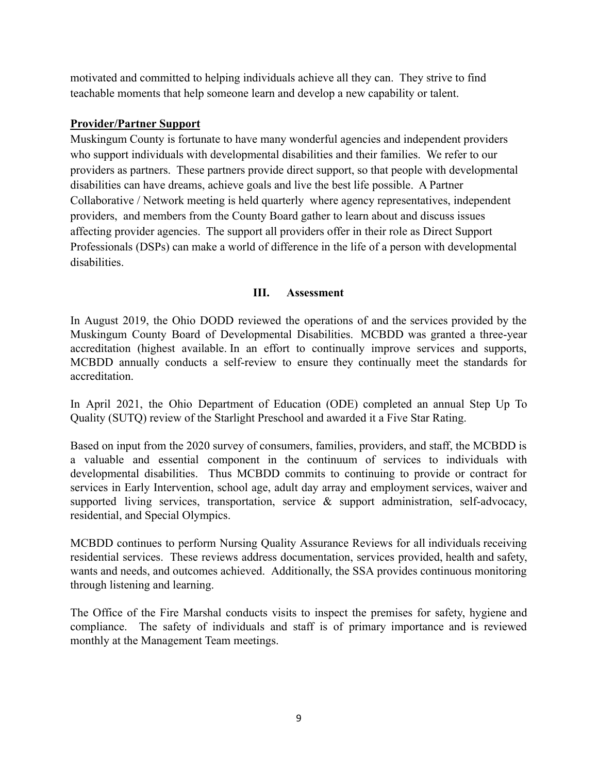motivated and committed to helping individuals achieve all they can. They strive to find teachable moments that help someone learn and develop a new capability or talent.

### **Provider/Partner Support**

Muskingum County is fortunate to have many wonderful agencies and independent providers who support individuals with developmental disabilities and their families. We refer to our providers as partners. These partners provide direct support, so that people with developmental disabilities can have dreams, achieve goals and live the best life possible. A Partner Collaborative / Network meeting is held quarterly where agency representatives, independent providers, and members from the County Board gather to learn about and discuss issues affecting provider agencies. The support all providers offer in their role as Direct Support Professionals (DSPs) can make a world of difference in the life of a person with developmental disabilities.

#### **III. Assessment**

In August 2019, the Ohio DODD reviewed the operations of and the services provided by the Muskingum County Board of Developmental Disabilities. MCBDD was granted a three-year accreditation (highest available. In an effort to continually improve services and supports, MCBDD annually conducts a self-review to ensure they continually meet the standards for accreditation.

In April 2021, the Ohio Department of Education (ODE) completed an annual Step Up To Quality (SUTQ) review of the Starlight Preschool and awarded it a Five Star Rating.

Based on input from the 2020 survey of consumers, families, providers, and staff, the MCBDD is a valuable and essential component in the continuum of services to individuals with developmental disabilities. Thus MCBDD commits to continuing to provide or contract for services in Early Intervention, school age, adult day array and employment services, waiver and supported living services, transportation, service  $\&$  support administration, self-advocacy, residential, and Special Olympics.

MCBDD continues to perform Nursing Quality Assurance Reviews for all individuals receiving residential services. These reviews address documentation, services provided, health and safety, wants and needs, and outcomes achieved. Additionally, the SSA provides continuous monitoring through listening and learning.

The Office of the Fire Marshal conducts visits to inspect the premises for safety, hygiene and compliance. The safety of individuals and staff is of primary importance and is reviewed monthly at the Management Team meetings.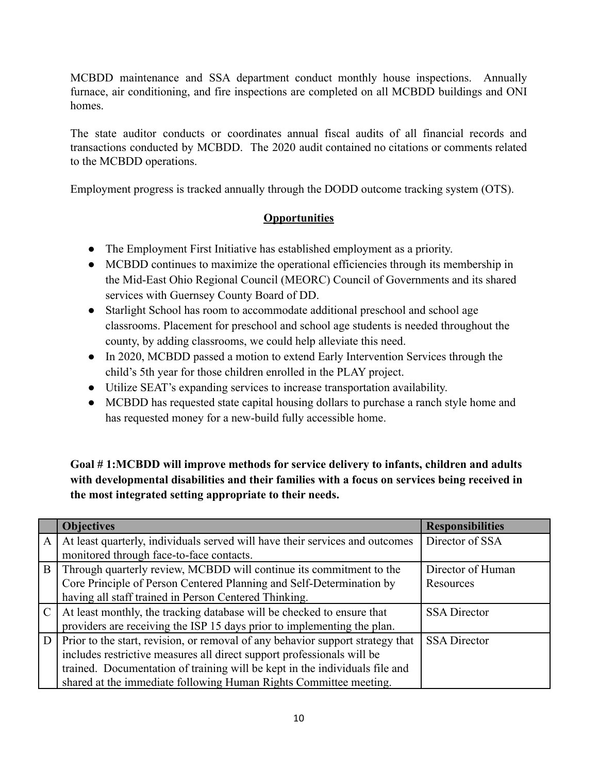MCBDD maintenance and SSA department conduct monthly house inspections. Annually furnace, air conditioning, and fire inspections are completed on all MCBDD buildings and ONI homes.

The state auditor conducts or coordinates annual fiscal audits of all financial records and transactions conducted by MCBDD. The 2020 audit contained no citations or comments related to the MCBDD operations.

Employment progress is tracked annually through the DODD outcome tracking system (OTS).

# **Opportunities**

- The Employment First Initiative has established employment as a priority.
- MCBDD continues to maximize the operational efficiencies through its membership in the Mid-East Ohio Regional Council (MEORC) Council of Governments and its shared services with Guernsey County Board of DD.
- Starlight School has room to accommodate additional preschool and school age classrooms. Placement for preschool and school age students is needed throughout the county, by adding classrooms, we could help alleviate this need.
- In 2020, MCBDD passed a motion to extend Early Intervention Services through the child's 5th year for those children enrolled in the PLAY project.
- Utilize SEAT's expanding services to increase transportation availability.
- MCBDD has requested state capital housing dollars to purchase a ranch style home and has requested money for a new-build fully accessible home.

**Goal # 1:MCBDD will improve methods for service delivery to infants, children and adults with developmental disabilities and their families with a focus on services being received in the most integrated setting appropriate to their needs.**

|               | <b>Objectives</b>                                                              | <b>Responsibilities</b> |
|---------------|--------------------------------------------------------------------------------|-------------------------|
| A             | At least quarterly, individuals served will have their services and outcomes   | Director of SSA         |
|               | monitored through face-to-face contacts.                                       |                         |
| B             | Through quarterly review, MCBDD will continue its commitment to the            | Director of Human       |
|               | Core Principle of Person Centered Planning and Self-Determination by           | Resources               |
|               | having all staff trained in Person Centered Thinking.                          |                         |
| $\mathcal{C}$ | At least monthly, the tracking database will be checked to ensure that         | <b>SSA Director</b>     |
|               | providers are receiving the ISP 15 days prior to implementing the plan.        |                         |
| D             | Prior to the start, revision, or removal of any behavior support strategy that | <b>SSA</b> Director     |
|               | includes restrictive measures all direct support professionals will be         |                         |
|               | trained. Documentation of training will be kept in the individuals file and    |                         |
|               | shared at the immediate following Human Rights Committee meeting.              |                         |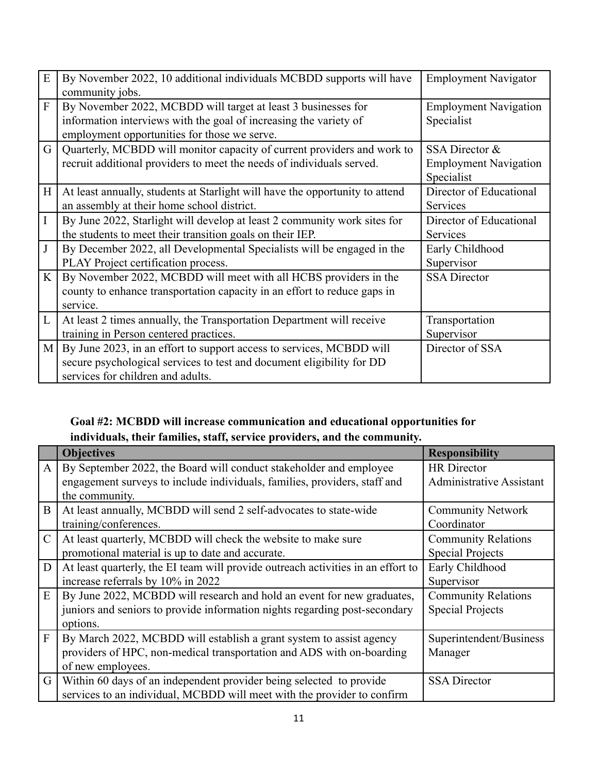| E              | By November 2022, 10 additional individuals MCBDD supports will have<br>community jobs.                                                                                                | <b>Employment Navigator</b>                                  |
|----------------|----------------------------------------------------------------------------------------------------------------------------------------------------------------------------------------|--------------------------------------------------------------|
| $\overline{F}$ | By November 2022, MCBDD will target at least 3 businesses for<br>information interviews with the goal of increasing the variety of<br>employment opportunities for those we serve.     | <b>Employment Navigation</b><br>Specialist                   |
| G              | Quarterly, MCBDD will monitor capacity of current providers and work to<br>recruit additional providers to meet the needs of individuals served.                                       | SSA Director &<br><b>Employment Navigation</b><br>Specialist |
| H              | At least annually, students at Starlight will have the opportunity to attend<br>an assembly at their home school district.                                                             | Director of Educational<br><b>Services</b>                   |
| $\mathbf I$    | By June 2022, Starlight will develop at least 2 community work sites for<br>the students to meet their transition goals on their IEP.                                                  | Director of Educational<br>Services                          |
| $\mathbf{J}$   | By December 2022, all Developmental Specialists will be engaged in the<br>PLAY Project certification process.                                                                          | Early Childhood<br>Supervisor                                |
| $\mathbf{K}$   | By November 2022, MCBDD will meet with all HCBS providers in the<br>county to enhance transportation capacity in an effort to reduce gaps in<br>service.                               | <b>SSA</b> Director                                          |
| L              | At least 2 times annually, the Transportation Department will receive<br>training in Person centered practices.                                                                        | Transportation<br>Supervisor                                 |
|                | M   By June 2023, in an effort to support access to services, MCBDD will<br>secure psychological services to test and document eligibility for DD<br>services for children and adults. | Director of SSA                                              |

# **Goal #2: MCBDD will increase communication and educational opportunities for individuals, their families, staff, service providers, and the community.**

|                | <b>Objectives</b>                                                                | <b>Responsibility</b>           |
|----------------|----------------------------------------------------------------------------------|---------------------------------|
| $\mathbf{A}$   | By September 2022, the Board will conduct stakeholder and employee               | <b>HR</b> Director              |
|                | engagement surveys to include individuals, families, providers, staff and        | <b>Administrative Assistant</b> |
|                | the community.                                                                   |                                 |
| B              | At least annually, MCBDD will send 2 self-advocates to state-wide                | <b>Community Network</b>        |
|                | training/conferences.                                                            | Coordinator                     |
| $\mathcal{C}$  | At least quarterly, MCBDD will check the website to make sure                    | <b>Community Relations</b>      |
|                | promotional material is up to date and accurate.                                 | <b>Special Projects</b>         |
| D              | At least quarterly, the EI team will provide outreach activities in an effort to | Early Childhood                 |
|                | increase referrals by 10% in 2022                                                | Supervisor                      |
| E              | By June 2022, MCBDD will research and hold an event for new graduates,           | <b>Community Relations</b>      |
|                | juniors and seniors to provide information nights regarding post-secondary       | <b>Special Projects</b>         |
|                | options.                                                                         |                                 |
| $\overline{F}$ | By March 2022, MCBDD will establish a grant system to assist agency              | Superintendent/Business         |
|                | providers of HPC, non-medical transportation and ADS with on-boarding            | Manager                         |
|                | of new employees.                                                                |                                 |
| G              | Within 60 days of an independent provider being selected to provide              | <b>SSA Director</b>             |
|                | services to an individual, MCBDD will meet with the provider to confirm          |                                 |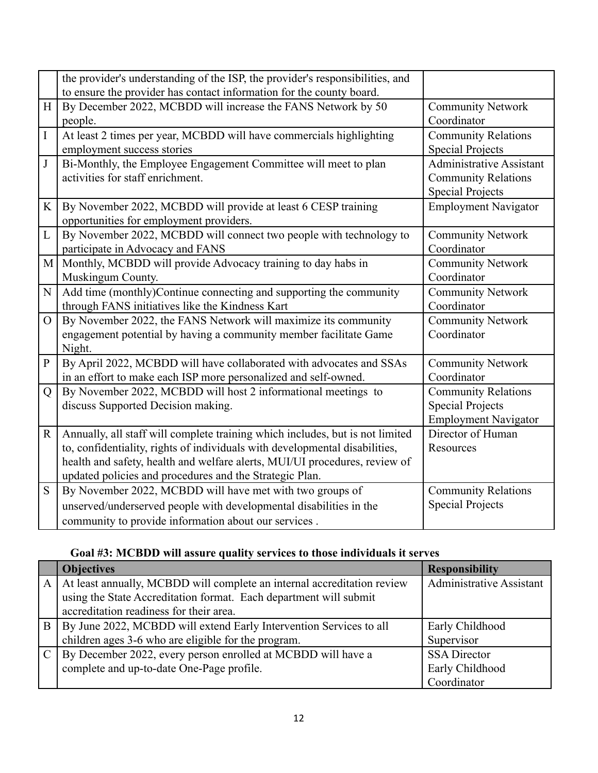| the provider's understanding of the ISP, the provider's responsibilities, and<br>to ensure the provider has contact information for the county board. |                                 |
|-------------------------------------------------------------------------------------------------------------------------------------------------------|---------------------------------|
|                                                                                                                                                       |                                 |
| By December 2022, MCBDD will increase the FANS Network by 50<br>H                                                                                     | <b>Community Network</b>        |
| Coordinator<br>people.                                                                                                                                |                                 |
| $\bf I$<br>At least 2 times per year, MCBDD will have commercials highlighting                                                                        | <b>Community Relations</b>      |
| employment success stories                                                                                                                            | <b>Special Projects</b>         |
| $_{\rm J}$<br>Bi-Monthly, the Employee Engagement Committee will meet to plan                                                                         | <b>Administrative Assistant</b> |
| activities for staff enrichment.                                                                                                                      | <b>Community Relations</b>      |
|                                                                                                                                                       | <b>Special Projects</b>         |
| By November 2022, MCBDD will provide at least 6 CESP training<br>K                                                                                    | <b>Employment Navigator</b>     |
| opportunities for employment providers.                                                                                                               |                                 |
| $\mathbf{L}$<br>By November 2022, MCBDD will connect two people with technology to                                                                    | <b>Community Network</b>        |
| Coordinator<br>participate in Advocacy and FANS                                                                                                       |                                 |
| Monthly, MCBDD will provide Advocacy training to day habs in<br>M                                                                                     | <b>Community Network</b>        |
| Coordinator<br>Muskingum County.                                                                                                                      |                                 |
| Add time (monthly)Continue connecting and supporting the community<br>N                                                                               | <b>Community Network</b>        |
| Coordinator<br>through FANS initiatives like the Kindness Kart                                                                                        |                                 |
| By November 2022, the FANS Network will maximize its community<br>$\Omega$                                                                            | <b>Community Network</b>        |
| Coordinator<br>engagement potential by having a community member facilitate Game                                                                      |                                 |
| Night.                                                                                                                                                |                                 |
| By April 2022, MCBDD will have collaborated with advocates and SSAs<br>$\mathbf{P}$                                                                   | <b>Community Network</b>        |
| in an effort to make each ISP more personalized and self-owned.<br>Coordinator                                                                        |                                 |
| By November 2022, MCBDD will host 2 informational meetings to<br>$\overline{Q}$                                                                       | <b>Community Relations</b>      |
| discuss Supported Decision making.                                                                                                                    | <b>Special Projects</b>         |
|                                                                                                                                                       | <b>Employment Navigator</b>     |
| Annually, all staff will complete training which includes, but is not limited<br>$\mathbf R$                                                          | Director of Human               |
| to, confidentiality, rights of individuals with developmental disabilities,<br>Resources                                                              |                                 |
| health and safety, health and welfare alerts, MUI/UI procedures, review of                                                                            |                                 |
| updated policies and procedures and the Strategic Plan.                                                                                               |                                 |
| By November 2022, MCBDD will have met with two groups of<br>S                                                                                         | <b>Community Relations</b>      |
| unserved/underserved people with developmental disabilities in the                                                                                    | <b>Special Projects</b>         |
| community to provide information about our services.                                                                                                  |                                 |

# **Goal #3: MCBDD will assure quality services to those individuals it serves**

|              | <b>Objectives</b>                                                       | <b>Responsibility</b>           |
|--------------|-------------------------------------------------------------------------|---------------------------------|
| $\mathsf{A}$ | At least annually, MCBDD will complete an internal accreditation review | <b>Administrative Assistant</b> |
|              | using the State Accreditation format. Each department will submit       |                                 |
|              | accreditation readiness for their area.                                 |                                 |
| B            | By June 2022, MCBDD will extend Early Intervention Services to all      | Early Childhood                 |
|              | children ages 3-6 who are eligible for the program.                     | Supervisor                      |
|              | By December 2022, every person enrolled at MCBDD will have a            | <b>SSA</b> Director             |
|              | complete and up-to-date One-Page profile.                               | Early Childhood                 |
|              |                                                                         | Coordinator                     |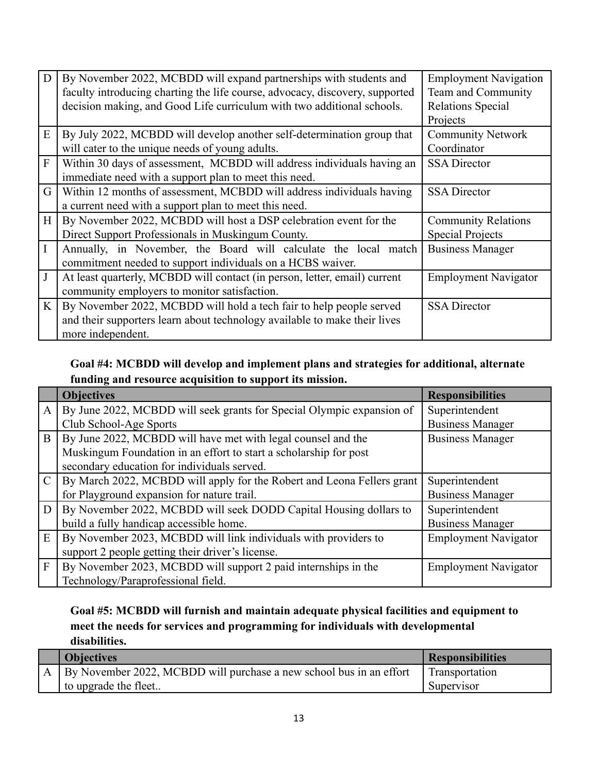| D              | By November 2022, MCBDD will expand partnerships with students and           | <b>Employment Navigation</b> |
|----------------|------------------------------------------------------------------------------|------------------------------|
|                | faculty introducing charting the life course, advocacy, discovery, supported | Team and Community           |
|                | decision making, and Good Life curriculum with two additional schools.       | Relations Special            |
|                |                                                                              | Projects                     |
| E              | By July 2022, MCBDD will develop another self-determination group that       | <b>Community Network</b>     |
|                | will cater to the unique needs of young adults.                              | Coordinator                  |
| $\mathbf{F}$   | Within 30 days of assessment, MCBDD will address individuals having an       | <b>SSA</b> Director          |
|                | immediate need with a support plan to meet this need.                        |                              |
| G              | Within 12 months of assessment, MCBDD will address individuals having        | <b>SSA</b> Director          |
|                | a current need with a support plan to meet this need.                        |                              |
| H <sub>1</sub> | By November 2022, MCBDD will host a DSP celebration event for the            | <b>Community Relations</b>   |
|                | Direct Support Professionals in Muskingum County.                            | <b>Special Projects</b>      |
|                | Annually, in November, the Board will calculate the local match              | <b>Business Manager</b>      |
|                | commitment needed to support individuals on a HCBS waiver.                   |                              |
| J              | At least quarterly, MCBDD will contact (in person, letter, email) current    | <b>Employment Navigator</b>  |
|                | community employers to monitor satisfaction.                                 |                              |
| K <sub>1</sub> | By November 2022, MCBDD will hold a tech fair to help people served          | <b>SSA Director</b>          |
|                | and their supporters learn about technology available to make their lives    |                              |
|                | more independent.                                                            |                              |

# **Goal #4: MCBDD will develop and implement plans and strategies for additional, alternate funding and resource acquisition to support its mission.**

|               | <b>Objectives</b>                                                      | <b>Responsibilities</b>     |
|---------------|------------------------------------------------------------------------|-----------------------------|
| $\mathbf{A}$  | By June 2022, MCBDD will seek grants for Special Olympic expansion of  | Superintendent              |
|               | Club School-Age Sports                                                 | <b>Business Manager</b>     |
| B             | By June 2022, MCBDD will have met with legal counsel and the           | <b>Business Manager</b>     |
|               | Muskingum Foundation in an effort to start a scholarship for post      |                             |
|               | secondary education for individuals served.                            |                             |
| $\mathcal{C}$ | By March 2022, MCBDD will apply for the Robert and Leona Fellers grant | Superintendent              |
|               | for Playground expansion for nature trail.                             | <b>Business Manager</b>     |
| D             | By November 2022, MCBDD will seek DODD Capital Housing dollars to      | Superintendent              |
|               | build a fully handicap accessible home.                                | <b>Business Manager</b>     |
| E             | By November 2023, MCBDD will link individuals with providers to        | <b>Employment Navigator</b> |
|               | support 2 people getting their driver's license.                       |                             |
| $\mathbf{F}$  | By November 2023, MCBDD will support 2 paid internships in the         | <b>Employment Navigator</b> |
|               | Technology/Paraprofessional field.                                     |                             |

# **Goal #5: MCBDD will furnish and maintain adequate physical facilities and equipment to meet the needs for services and programming for individuals with developmental disabilities.**

| <b>Objectives</b>                                                       | <b>Responsibilities</b> |
|-------------------------------------------------------------------------|-------------------------|
| A   By November 2022, MCBDD will purchase a new school bus in an effort | Transportation          |
| to upgrade the fleet                                                    | Supervisor              |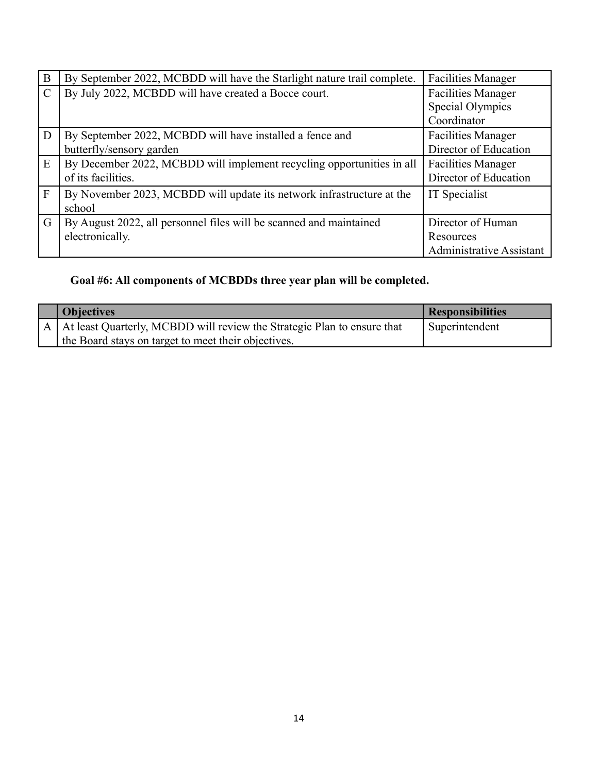| B              | By September 2022, MCBDD will have the Starlight nature trail complete. | <b>Facilities Manager</b>       |
|----------------|-------------------------------------------------------------------------|---------------------------------|
| $\mathcal{C}$  | By July 2022, MCBDD will have created a Bocce court.                    | <b>Facilities Manager</b>       |
|                |                                                                         | Special Olympics                |
|                |                                                                         | Coordinator                     |
| $\overline{D}$ | By September 2022, MCBDD will have installed a fence and                | <b>Facilities Manager</b>       |
|                | butterfly/sensory garden                                                | Director of Education           |
| E              | By December 2022, MCBDD will implement recycling opportunities in all   | <b>Facilities Manager</b>       |
|                | of its facilities.                                                      | Director of Education           |
| $\vert$ F      | By November 2023, MCBDD will update its network infrastructure at the   | IT Specialist                   |
|                | school                                                                  |                                 |
| $\overline{G}$ | By August 2022, all personnel files will be scanned and maintained      | Director of Human               |
|                | electronically.                                                         | Resources                       |
|                |                                                                         | <b>Administrative Assistant</b> |

# **Goal #6: All components of MCBDDs three year plan will be completed.**

| <b>Objectives</b>                                                           | <b>Responsibilities</b> |
|-----------------------------------------------------------------------------|-------------------------|
| A   At least Quarterly, MCBDD will review the Strategic Plan to ensure that | Superintendent          |
| the Board stays on target to meet their objectives.                         |                         |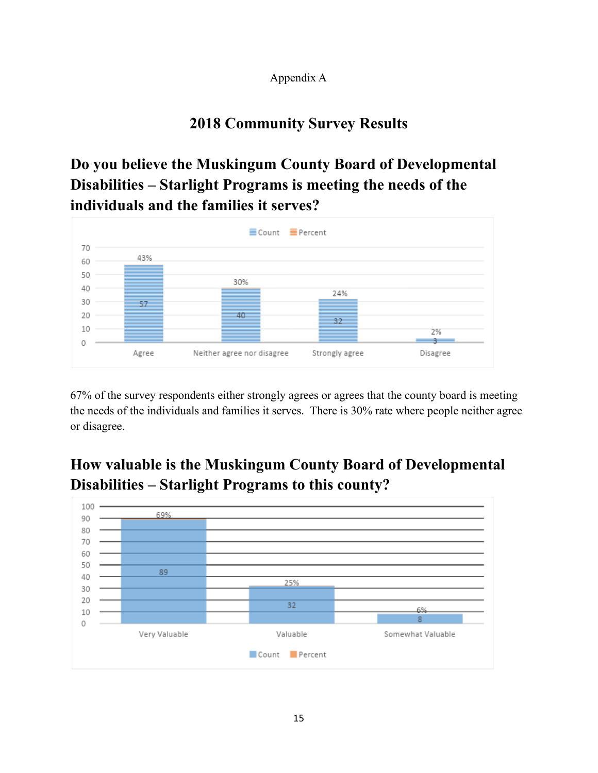# Appendix A

# **2018 Community Survey Results**

# **Do you believe the Muskingum County Board of Developmental Disabilities – Starlight Programs is meeting the needs of the individuals and the families it serves?**



67% of the survey respondents either strongly agrees or agrees that the county board is meeting the needs of the individuals and families it serves. There is 30% rate where people neither agree or disagree.

# **How valuable is the Muskingum County Board of Developmental Disabilities – Starlight Programs to this county?**

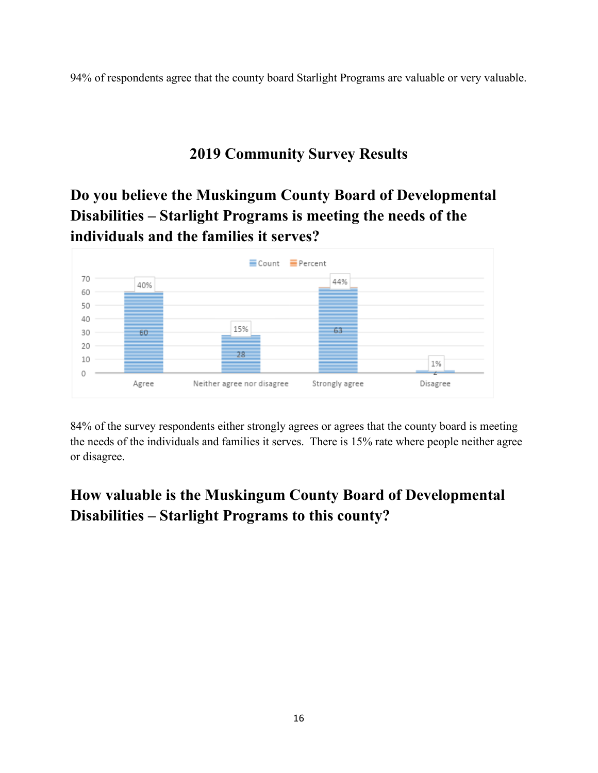94% of respondents agree that the county board Starlight Programs are valuable or very valuable.

# **2019 Community Survey Results**

**Do you believe the Muskingum County Board of Developmental Disabilities – Starlight Programs is meeting the needs of the individuals and the families it serves?**



84% of the survey respondents either strongly agrees or agrees that the county board is meeting the needs of the individuals and families it serves. There is 15% rate where people neither agree or disagree.

# **How valuable is the Muskingum County Board of Developmental Disabilities – Starlight Programs to this county?**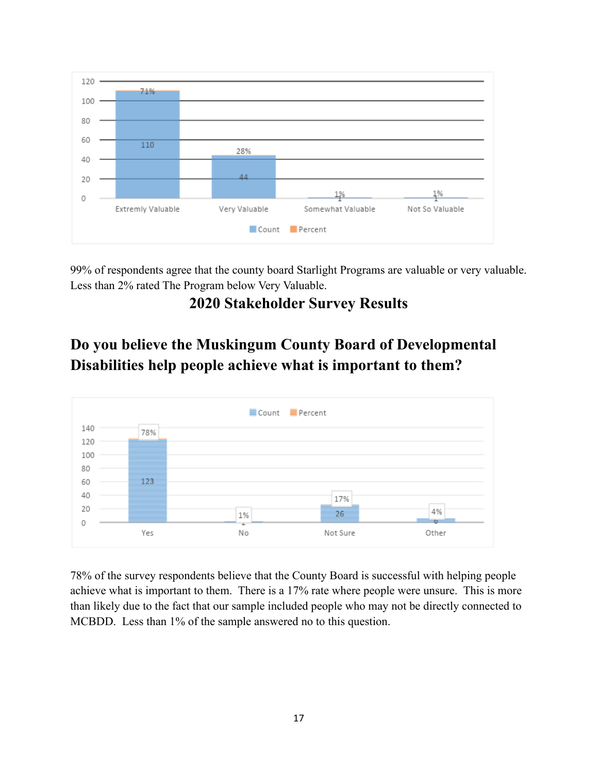

99% of respondents agree that the county board Starlight Programs are valuable or very valuable. Less than 2% rated The Program below Very Valuable.

# **2020 Stakeholder Survey Results**

# **Do you believe the Muskingum County Board of Developmental Disabilities help people achieve what is important to them?**



78% of the survey respondents believe that the County Board is successful with helping people achieve what is important to them. There is a 17% rate where people were unsure. This is more than likely due to the fact that our sample included people who may not be directly connected to MCBDD. Less than 1% of the sample answered no to this question.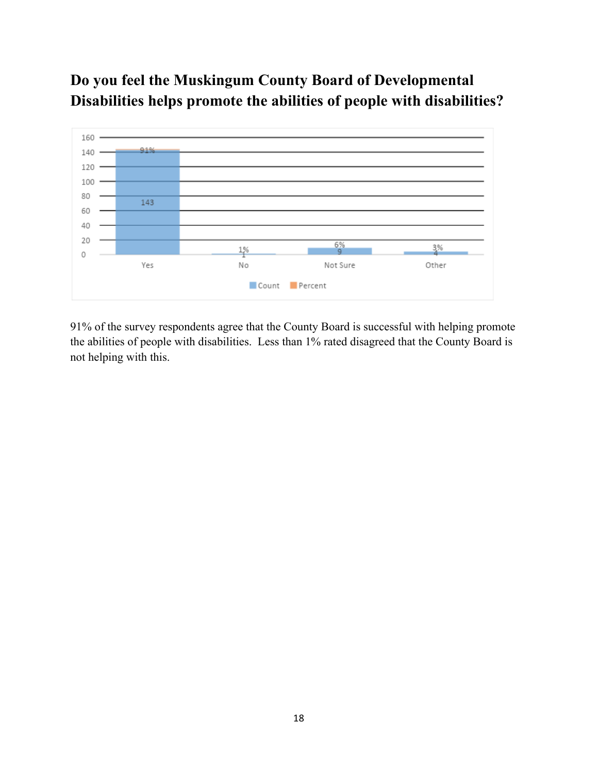# **Do you feel the Muskingum County Board of Developmental Disabilities helps promote the abilities of people with disabilities?**



91% of the survey respondents agree that the County Board is successful with helping promote the abilities of people with disabilities. Less than 1% rated disagreed that the County Board is not helping with this.